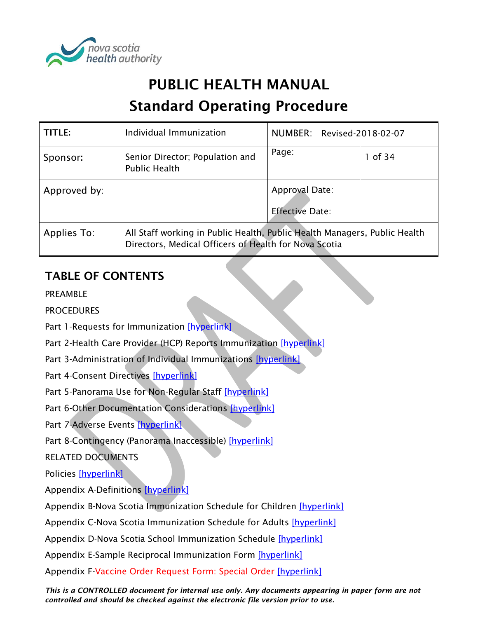

# PUBLIC HEALTH MANUAL Standard Operating Procedure

| TITLE:       | Individual Immunization                                                                                                            | NUMBER: Revised-2018-02-07               |  |
|--------------|------------------------------------------------------------------------------------------------------------------------------------|------------------------------------------|--|
| Sponsor:     | Senior Director; Population and<br><b>Public Health</b>                                                                            | Page:<br>1 of 34                         |  |
| Approved by: |                                                                                                                                    | Approval Date:<br><b>Effective Date:</b> |  |
| Applies To:  | All Staff working in Public Health, Public Health Managers, Public Health<br>Directors, Medical Officers of Health for Nova Scotia |                                          |  |

# TABLE OF CONTENTS

PREAMBLE

# PROCEDURES

Part 1-Requests for Immunization [\[hyperlink\]](#page-1-0)

Part 2-Health Care Provider (HCP) Reports Immunization [\[hyperlink\]](#page-2-0)

Part 3-Administration of Individual Immunizations [\[hyperlink\]](#page-3-0)

Part 4-Consent Directives [\[hyperlink\]](#page-5-0)

Part 5-Panorama Use for Non-Regular Staff [\[hyperlink\]](#page-8-0)

Part 6-Other Documentation Considerations [\[hyperlink\]](#page-9-0)

Part 7-Adverse Events [\[hyperlink\]](#page-12-0)

Part 8-Contingency (Panorama Inaccessible) [\[hyperlink\]](#page-12-1)

RELATED DOCUMENTS

Policies [\[hyperlink\]](#page-17-0)

Appendix A-Definitions [\[hyperlink\]](#page-19-0)

Appendix B-Nova Scotia Immunization Schedule for Children [\[hyperlink\]](#page-21-0)

Appendix C-Nova Scotia Immunization Schedule for Adults [\[hyperlink\]](#page-22-0)

Appendix D-Nova Scotia School Immunization Schedule [\[hyperlink\]](#page-23-0)

Appendix E-Sample Reciprocal Immunization Form [\[hyperlink\]](#page-24-0)

Appendix F-Vaccine Order Request Form: Special Order [\[hyperlink\]](#page-25-0)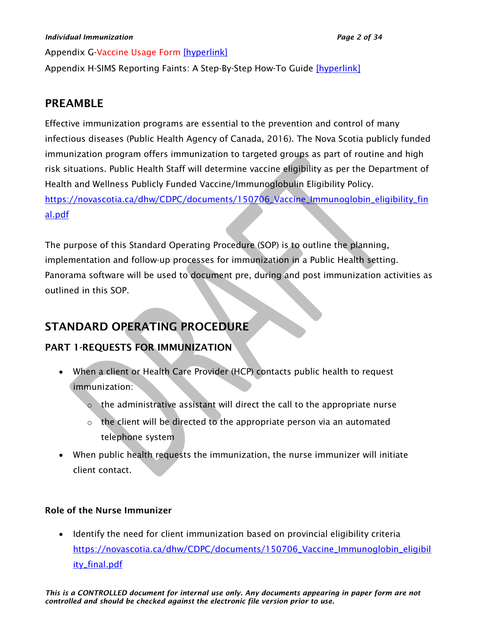*Individual Immunization Page 2 of 34*

Appendix G-Vaccine Usage Form [\[hyperlink\]](#page-26-0) Appendix H-SIMS Reporting Faints: A Step-By-Step How-To Guide [\[hyperlink\]](#page-27-0)

# PREAMBLE

Effective immunization programs are essential to the prevention and control of many infectious diseases (Public Health Agency of Canada, 2016). The Nova Scotia publicly funded immunization program offers immunization to targeted groups as part of routine and high risk situations. Public Health Staff will determine vaccine eligibility as per the Department of Health and Wellness Publicly Funded Vaccine/Immunoglobulin Eligibility Policy. [https://novascotia.ca/dhw/CDPC/documents/150706\\_Vaccine\\_Immunoglobin\\_eligibility\\_fin](https://novascotia.ca/dhw/CDPC/documents/150706_Vaccine_Immunoglobin_eligibility_final.pdf) [al.pdf](https://novascotia.ca/dhw/CDPC/documents/150706_Vaccine_Immunoglobin_eligibility_final.pdf)

The purpose of this Standard Operating Procedure (SOP) is to outline the planning, implementation and follow-up processes for immunization in a Public Health setting. Panorama software will be used to document pre, during and post immunization activities as outlined in this SOP.

# STANDARD OPERATING PROCEDURE

# <span id="page-1-0"></span>PART 1-REQUESTS FOR IMMUNIZATION

- When a client or Health Care Provider (HCP) contacts public health to request immunization:
	- $\circ$  the administrative assistant will direct the call to the appropriate nurse
	- the client will be directed to the appropriate person via an automated telephone system
- When public health requests the immunization, the nurse immunizer will initiate client contact.

# Role of the Nurse Immunizer

• Identify the need for client immunization based on provincial eligibility criteria [https://novascotia.ca/dhw/CDPC/documents/150706\\_Vaccine\\_Immunoglobin\\_eligibil](https://novascotia.ca/dhw/CDPC/documents/150706_Vaccine_Immunoglobin_eligibility_final.pdf) [ity\\_final.pdf](https://novascotia.ca/dhw/CDPC/documents/150706_Vaccine_Immunoglobin_eligibility_final.pdf)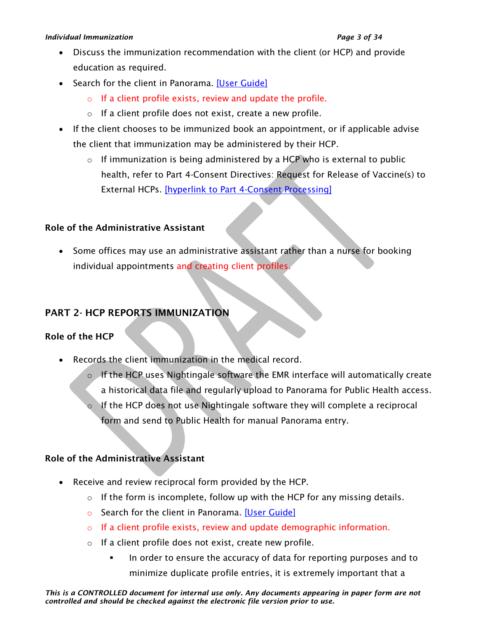#### *Individual Immunization Page 3 of 34*

- Discuss the immunization recommendation with the client (or HCP) and provide education as required.
- Search for the client in Panorama. [\[User Guide\]](https://support.novascotia.ca/sites/default/files/docs/immunization-user-guides/PNS%20User%20Guide%20CLT%20101%20-%20Basic%20Client%20Records%20Management.pdf)
	- o If a client profile exists, review and update the profile.
	- o If a client profile does not exist, create a new profile.
- If the client chooses to be immunized book an appointment, or if applicable advise the client that immunization may be administered by their HCP.
	- $\circ$  If immunization is being administered by a HCP who is external to public health, refer to Part 4-Consent Directives: Request for Release of Vaccine(s) to External HCPs. [\[hyperlink to Part 4-Consent Processing\]](#page-5-0)

# Role of the Administrative Assistant

• Some offices may use an administrative assistant rather than a nurse for booking individual appointments and creating client profiles.

# <span id="page-2-0"></span>PART 2- HCP REPORTS IMMUNIZATION

# Role of the HCP

- Records the client immunization in the medical record.
	- $\circ$  If the HCP uses Nightingale software the EMR interface will automatically create a historical data file and regularly upload to Panorama for Public Health access.
	- $\circ$  If the HCP does not use Nightingale software they will complete a reciprocal form and send to Public Health for manual Panorama entry.

# Role of the Administrative Assistant

- Receive and review reciprocal form provided by the HCP.
	- $\circ$  If the form is incomplete, follow up with the HCP for any missing details.
	- o Search for the client in Panorama. [\[User Guide\]](https://support.novascotia.ca/sites/default/files/docs/immunization-user-guides/PNS%20User%20Guide%20CLT%20101%20-%20Basic%20Client%20Records%20Management.pdf)
	- o If a client profile exists, review and update demographic information.
	- o If a client profile does not exist, create new profile.
		- In order to ensure the accuracy of data for reporting purposes and to minimize duplicate profile entries, it is extremely important that a

*This is a CONTROLLED document for internal use only. Any documents appearing in paper form are not controlled and should be checked against the electronic file version prior to use.*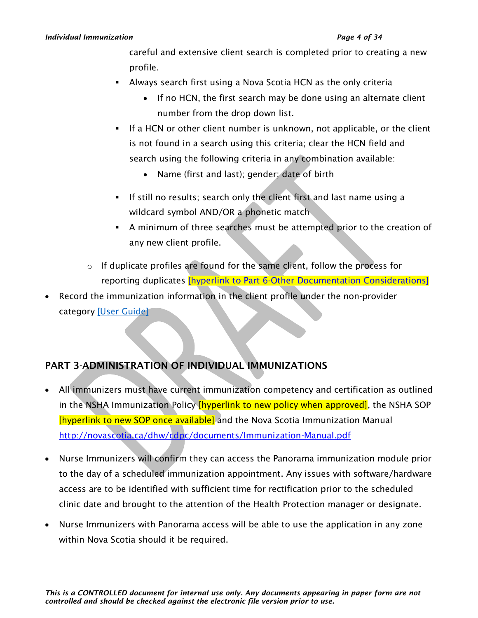careful and extensive client search is completed prior to creating a new profile.

- **EXED Always search first using a Nova Scotia HCN as the only criteria** 
	- If no HCN, the first search may be done using an alternate client number from the drop down list.
- **.** If a HCN or other client number is unknown, not applicable, or the client is not found in a search using this criteria; clear the HCN field and search using the following criteria in any combination available:
	- Name (first and last); gender; date of birth
- If still no results; search only the client first and last name using a wildcard symbol AND/OR a phonetic match
- A minimum of three searches must be attempted prior to the creation of any new client profile.
- o If duplicate profiles are found for the same client, follow the process for reporting duplicates [\[hyperlink to Part 6-Other Documentation Considerations\]](#page-9-0)
- Record the immunization information in the client profile under the non-provider category [\[User Guide\]](https://support.novascotia.ca/sites/default/files/docs/immunization-user-guides/PNS%20User%20Guide%20IMM%20101%20-%20Single%20Immunization.pdf)

# <span id="page-3-0"></span>PART 3-ADMINISTRATION OF INDIVIDUAL IMMUNIZATIONS

- All immunizers must have current immunization competency and certification as outlined in the NSHA Immunization Policy *[hyperlink to new policy when approved]*, the NSHA SOP [hyperlink to new SOP once available] and the Nova Scotia Immunization Manual <http://novascotia.ca/dhw/cdpc/documents/Immunization-Manual.pdf>
- Nurse Immunizers will confirm they can access the Panorama immunization module prior to the day of a scheduled immunization appointment. Any issues with software/hardware access are to be identified with sufficient time for rectification prior to the scheduled clinic date and brought to the attention of the Health Protection manager or designate.
- Nurse Immunizers with Panorama access will be able to use the application in any zone within Nova Scotia should it be required.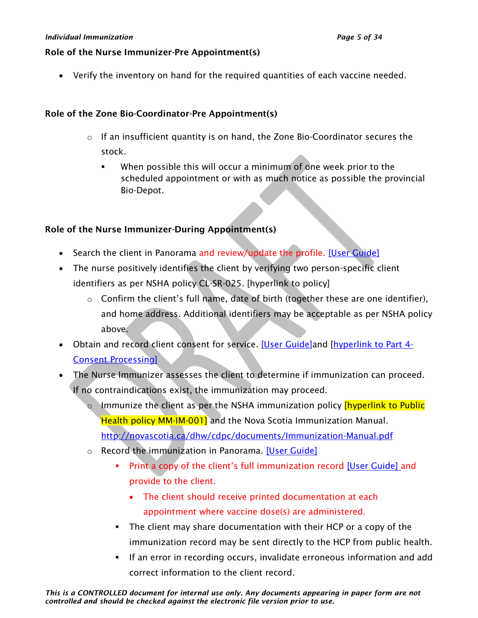# Role of the Nurse Immunizer-Pre Appointment(s)

• Verify the inventory on hand for the required quantities of each vaccine needed.

# Role of the Zone Bio-Coordinator-Pre Appointment(s)

- o If an insufficient quantity is on hand, the Zone Bio-Coordinator secures the stock.
	- When possible this will occur a minimum of one week prior to the scheduled appointment or with as much notice as possible the provincial Bio-Depot.

# Role of the Nurse Immunizer-During Appointment(s)

- Search the client in Panorama and review/update the profile. [\[User Guide\]](https://support.novascotia.ca/sites/default/files/docs/immunization-user-guides/PNS%20User%20Guide%20CLT%20101%20-%20Basic%20Client%20Records%20Management.pdf)
- The nurse positively identifies the client by verifying two person-specific client identifiers as per NSHA policy CL-SR-025. [hyperlink to policy]
	- o Confirm the client's full name, date of birth (together these are one identifier), and home address. Additional identifiers may be acceptable as per NSHA policy above.
- Obtain and record client consent for service. [\[User Guide\]a](https://support.novascotia.ca/sites/default/files/docs/immunization-user-guides/PNS%20User%20Guide%20CLT%20101%20-%20Basic%20Client%20Records%20Management.pdf)nd [\[hyperlink to Part 4-](#page-5-0) [Consent Processing\]](#page-5-0)
- The Nurse Immunizer assesses the client to determine if immunization can proceed. If no contraindications exist, the immunization may proceed.
	- Immunize the client as per the NSHA immunization policy *[hyperlink to Public*] Health policy MM-IM-001] and the Nova Scotia Immunization Manual. <http://novascotia.ca/dhw/cdpc/documents/Immunization-Manual.pdf>
	- o Record the immunization in Panorama. [\[User Guide\]](https://support.novascotia.ca/sites/default/files/docs/immunization-user-guides/PNS%20User%20Guide%20IMM%20101%20-%20Single%20Immunization.pdf)
		- **•** Print a copy of the client's full immunization record [\[User Guide\]](https://support.novascotia.ca/sites/default/files/docs/immunization-user-guides/PNS%20User%20Guide%20IMM%20104%20-%20Immunization%20Reports.pdf) and provide to the client.
			- The client should receive printed documentation at each appointment where vaccine dose(s) are administered.
		- The client may share documentation with their HCP or a copy of the immunization record may be sent directly to the HCP from public health.
		- **EXT** If an error in recording occurs, invalidate erroneous information and add correct information to the client record.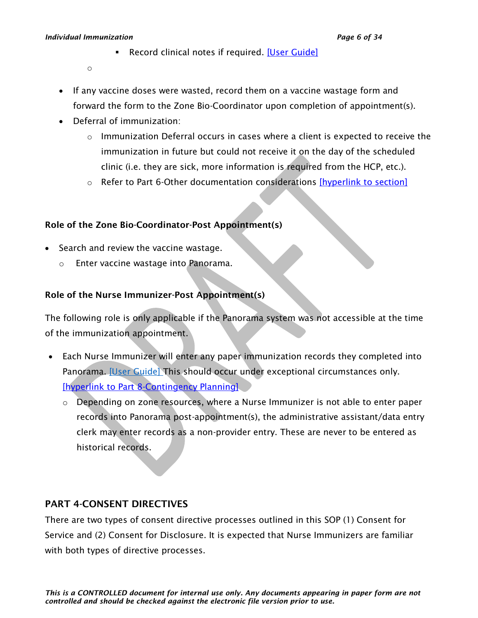#### *Individual Immunization Page 6 of 34*

**EXECORE CLINICAL READER IS REGORD FOR A READER** FIGURE READERED.

- o
- If any vaccine doses were wasted, record them on a vaccine wastage form and forward the form to the Zone Bio-Coordinator upon completion of appointment(s).
- Deferral of immunization:
	- $\circ$  Immunization Deferral occurs in cases where a client is expected to receive the immunization in future but could not receive it on the day of the scheduled clinic (i.e. they are sick, more information is required from the HCP, etc.).
	- $\circ$  Refer to Part 6-Other documentation considerations [\[hyperlink to section\]](#page-9-0)

# Role of the Zone Bio-Coordinator-Post Appointment(s)

- Search and review the vaccine wastage.
	- o Enter vaccine wastage into Panorama.

# Role of the Nurse Immunizer-Post Appointment(s)

The following role is only applicable if the Panorama system was not accessible at the time of the immunization appointment.

- Each Nurse Immunizer will enter any paper immunization records they completed into Panorama. **[User Guide]** This should occur under exceptional circumstances only. [\[hyperlink to Part 8-Contingency Planning\]](#page-12-1)
	- o Depending on zone resources, where a Nurse Immunizer is not able to enter paper records into Panorama post-appointment(s), the administrative assistant/data entry clerk may enter records as a non-provider entry. These are never to be entered as historical records.

# <span id="page-5-0"></span>PART 4-CONSENT DIRECTIVES

There are two types of consent directive processes outlined in this SOP (1) Consent for Service and (2) Consent for Disclosure. It is expected that Nurse Immunizers are familiar with both types of directive processes.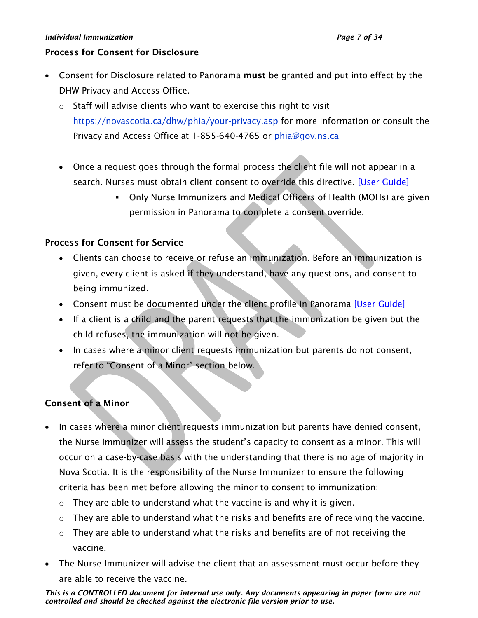#### *Individual Immunization Page 7 of 34*

## Process for Consent for Disclosure

- Consent for Disclosure related to Panorama must be granted and put into effect by the DHW Privacy and Access Office.
	- o Staff will advise clients who want to exercise this right to visit <https://novascotia.ca/dhw/phia/your-privacy.asp> for more information or consult the Privacy and Access Office at 1-855-640-4765 or [phia@gov.ns.ca](mailto:phia@gov.ns.ca)
	- Once a request goes through the formal process the client file will not appear in a search. Nurses must obtain client consent to override this directive. [\[User Guide\]](https://support.novascotia.ca/sites/default/files/docs/immunization-user-guides/PNS%20User%20Guide%20CLT%20102-%20Advanced%20Client%20Records%20Management.pdf)
		- Only Nurse Immunizers and Medical Officers of Health (MOHs) are given permission in Panorama to complete a consent override.

# Process for Consent for Service

- Clients can choose to receive or refuse an immunization. Before an immunization is given, every client is asked if they understand, have any questions, and consent to being immunized.
- Consent must be documented under the client profile in Panorama [\[User Guide\]](https://support.novascotia.ca/sites/default/files/docs/immunization-user-guides/PNS%20User%20Guide%20CLT%20102-%20Advanced%20Client%20Records%20Management.pdf)
- If a client is a child and the parent requests that the immunization be given but the child refuses, the immunization will not be given.
- In cases where a minor client requests immunization but parents do not consent, refer to "Consent of a Minor" section below.

# Consent of a Minor

- In cases where a minor client requests immunization but parents have denied consent, the Nurse Immunizer will assess the student's capacity to consent as a minor. This will occur on a case-by-case basis with the understanding that there is no age of majority in Nova Scotia. It is the responsibility of the Nurse Immunizer to ensure the following criteria has been met before allowing the minor to consent to immunization:
	- $\circ$  They are able to understand what the vaccine is and why it is given.
	- $\circ$  They are able to understand what the risks and benefits are of receiving the vaccine.
	- $\circ$  They are able to understand what the risks and benefits are of not receiving the vaccine.
- The Nurse Immunizer will advise the client that an assessment must occur before they are able to receive the vaccine.

*This is a CONTROLLED document for internal use only. Any documents appearing in paper form are not controlled and should be checked against the electronic file version prior to use.*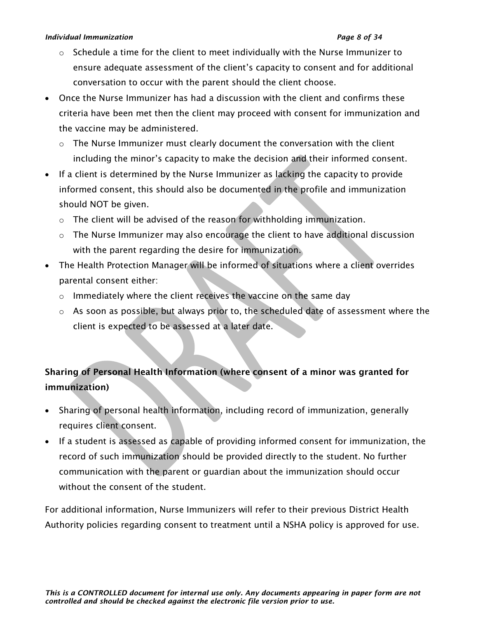#### *Individual Immunization Page 8 of 34*

- $\circ$  Schedule a time for the client to meet individually with the Nurse Immunizer to ensure adequate assessment of the client's capacity to consent and for additional conversation to occur with the parent should the client choose.
- Once the Nurse Immunizer has had a discussion with the client and confirms these criteria have been met then the client may proceed with consent for immunization and the vaccine may be administered.
	- $\circ$  The Nurse Immunizer must clearly document the conversation with the client including the minor's capacity to make the decision and their informed consent.
- If a client is determined by the Nurse Immunizer as lacking the capacity to provide informed consent, this should also be documented in the profile and immunization should NOT be given.
	- o The client will be advised of the reason for withholding immunization.
	- $\circ$  The Nurse Immunizer may also encourage the client to have additional discussion with the parent regarding the desire for immunization.
- The Health Protection Manager will be informed of situations where a client overrides parental consent either:
	- o Immediately where the client receives the vaccine on the same day
	- o As soon as possible, but always prior to, the scheduled date of assessment where the client is expected to be assessed at a later date.

# Sharing of Personal Health Information (where consent of a minor was granted for immunization)

- Sharing of personal health information, including record of immunization, generally requires client consent.
- If a student is assessed as capable of providing informed consent for immunization, the record of such immunization should be provided directly to the student. No further communication with the parent or guardian about the immunization should occur without the consent of the student.

For additional information, Nurse Immunizers will refer to their previous District Health Authority policies regarding consent to treatment until a NSHA policy is approved for use.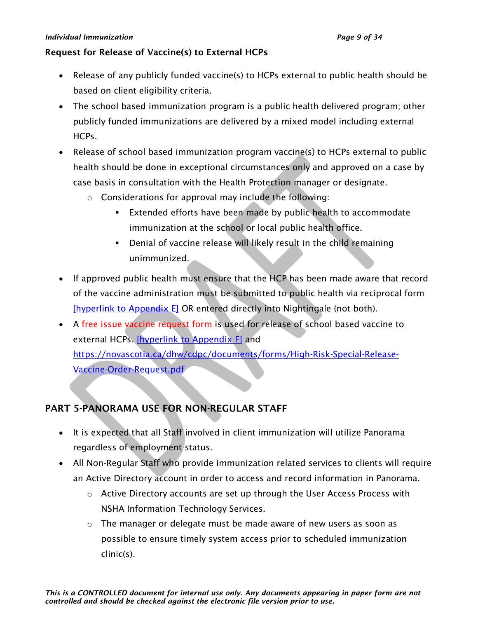#### *Individual Immunization Page 9 of 34*

## Request for Release of Vaccine(s) to External HCPs

- Release of any publicly funded vaccine(s) to HCPs external to public health should be based on client eligibility criteria.
- The school based immunization program is a public health delivered program; other publicly funded immunizations are delivered by a mixed model including external HCPs.
- Release of school based immunization program vaccine(s) to HCPs external to public health should be done in exceptional circumstances only and approved on a case by case basis in consultation with the Health Protection manager or designate.
	- o Considerations for approval may include the following:
		- Extended efforts have been made by public health to accommodate immunization at the school or local public health office.
		- Denial of vaccine release will likely result in the child remaining unimmunized.
- If approved public health must ensure that the HCP has been made aware that record of the vaccine administration must be submitted to public health via reciprocal form [\[hyperlink to Appendix E\]](#page-24-0) OR entered directly into Nightingale (not both).
- A free issue vaccine request form is used for release of school based vaccine to external HCPs. [\[hyperlink to Appendix F\]](#page-25-0) and [https://novascotia.ca/dhw/cdpc/documents/forms/High-Risk-Special-Release-](https://novascotia.ca/dhw/cdpc/documents/forms/High-Risk-Special-Release-Vaccine-Order-Request.pdf)[Vaccine-Order-Request.pdf](https://novascotia.ca/dhw/cdpc/documents/forms/High-Risk-Special-Release-Vaccine-Order-Request.pdf)

# <span id="page-8-0"></span>PART 5-PANORAMA USE FOR NON-REGULAR STAFF

- It is expected that all Staff involved in client immunization will utilize Panorama regardless of employment status.
- All Non-Regular Staff who provide immunization related services to clients will require an Active Directory account in order to access and record information in Panorama.
	- o Active Directory accounts are set up through the User Access Process with NSHA Information Technology Services.
	- o The manager or delegate must be made aware of new users as soon as possible to ensure timely system access prior to scheduled immunization clinic(s).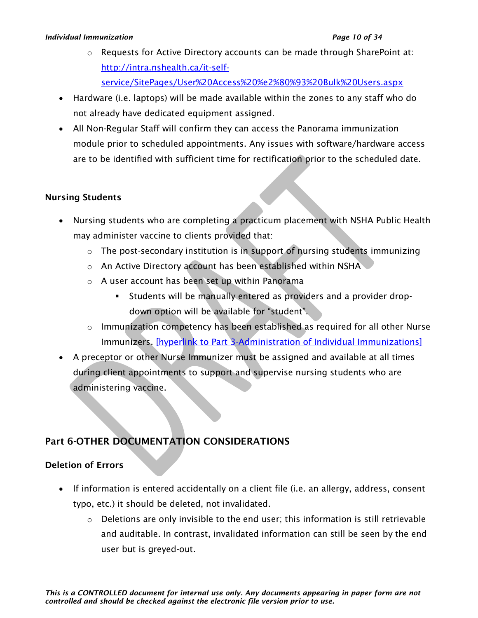#### *Individual Immunization Page 10 of 34*

- $\circ$  Requests for Active Directory accounts can be made through SharePoint at: [http://intra.nshealth.ca/it-self](http://intra.nshealth.ca/it-self-service/SitePages/User%20Access%20%e2%80%93%20Bulk%20Users.aspx)[service/SitePages/User%20Access%20%e2%80%93%20Bulk%20Users.aspx](http://intra.nshealth.ca/it-self-service/SitePages/User%20Access%20%e2%80%93%20Bulk%20Users.aspx)
- Hardware (i.e. laptops) will be made available within the zones to any staff who do not already have dedicated equipment assigned.
- All Non-Regular Staff will confirm they can access the Panorama immunization module prior to scheduled appointments. Any issues with software/hardware access are to be identified with sufficient time for rectification prior to the scheduled date.

## Nursing Students

- Nursing students who are completing a practicum placement with NSHA Public Health may administer vaccine to clients provided that:
	- o The post-secondary institution is in support of nursing students immunizing
	- o An Active Directory account has been established within NSHA
	- o A user account has been set up within Panorama
		- Students will be manually entered as providers and a provider dropdown option will be available for "student".
	- o Immunization competency has been established as required for all other Nurse Immunizers. [hyperlink to [Part 3-Administration of Individual Immunizations\]](#page-3-0)
- A preceptor or other Nurse Immunizer must be assigned and available at all times during client appointments to support and supervise nursing students who are administering vaccine.

# <span id="page-9-0"></span>Part 6-OTHER DOCUMENTATION CONSIDERATIONS

# Deletion of Errors

- If information is entered accidentally on a client file (i.e. an allergy, address, consent typo, etc.) it should be deleted, not invalidated.
	- $\circ$  Deletions are only invisible to the end user; this information is still retrievable and auditable. In contrast, invalidated information can still be seen by the end user but is greyed-out.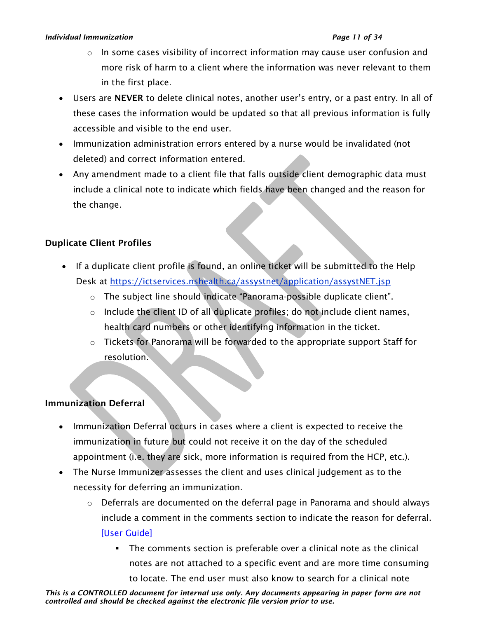#### *Individual Immunization Page 11 of 34*

- o In some cases visibility of incorrect information may cause user confusion and more risk of harm to a client where the information was never relevant to them in the first place.
- Users are NEVER to delete clinical notes, another user's entry, or a past entry. In all of these cases the information would be updated so that all previous information is fully accessible and visible to the end user.
- Immunization administration errors entered by a nurse would be invalidated (not deleted) and correct information entered.
- Any amendment made to a client file that falls outside client demographic data must include a clinical note to indicate which fields have been changed and the reason for the change.

# Duplicate Client Profiles

- If a duplicate client profile is found, an online ticket will be submitted to the Help Desk at<https://ictservices.nshealth.ca/assystnet/application/assystNET.jsp>
	- o The subject line should indicate "Panorama-possible duplicate client".
	- o Include the client ID of all duplicate profiles; do not include client names, health card numbers or other identifying information in the ticket.
	- $\circ$  Tickets for Panorama will be forwarded to the appropriate support Staff for resolution.

# Immunization Deferral

- Immunization Deferral occurs in cases where a client is expected to receive the immunization in future but could not receive it on the day of the scheduled appointment (i.e. they are sick, more information is required from the HCP, etc.).
- The Nurse Immunizer assesses the client and uses clinical judgement as to the necessity for deferring an immunization.
	- $\circ$  Deferrals are documented on the deferral page in Panorama and should always include a comment in the comments section to indicate the reason for deferral. [\[User Guide\]](https://support.novascotia.ca/sites/default/files/docs/immunization-user-guides/PNS%20User%20Guide%20IMM%20101%20-%20Single%20Immunization.pdf)
		- The comments section is preferable over a clinical note as the clinical notes are not attached to a specific event and are more time consuming to locate. The end user must also know to search for a clinical note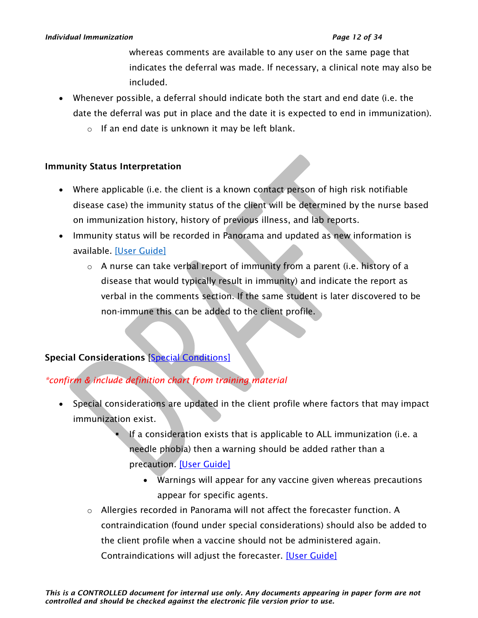#### *Individual Immunization Page 12 of 34*

whereas comments are available to any user on the same page that indicates the deferral was made. If necessary, a clinical note may also be included.

- Whenever possible, a deferral should indicate both the start and end date (i.e. the date the deferral was put in place and the date it is expected to end in immunization).
	- o If an end date is unknown it may be left blank.

# Immunity Status Interpretation

- Where applicable (i.e. the client is a known contact person of high risk notifiable disease case) the immunity status of the client will be determined by the nurse based on immunization history, history of previous illness, and lab reports.
- Immunity status will be recorded in Panorama and updated as new information is available. [\[User Guide\]](https://support.novascotia.ca/sites/default/files/docs/immunization-user-guides/PNS%20User%20Guide%20IMM%20101%20-%20Single%20Immunization.pdf)
	- o A nurse can take verbal report of immunity from a parent (i.e. history of a disease that would typically result in immunity) and indicate the report as verbal in the comments section. If the same student is later discovered to be non-immune this can be added to the client profile.

# Special Considerations [\[Special Conditions\]](https://support.novascotia.ca/sites/default/files/docs/immunization-user-guides/Panorama%20Tips%20%26%20Tricks_Special%20Considerations.pdf)

# *\*confirm & include definition chart from training material*

- Special considerations are updated in the client profile where factors that may impact immunization exist.
	- If a consideration exists that is applicable to ALL immunization (i.e. a needle phobia) then a warning should be added rather than a precaution. [\[User Guide\]](https://support.novascotia.ca/sites/default/files/docs/immunization-user-guides/PNS%20User%20Guide%20CLT%20102-%20Advanced%20Client%20Records%20Management.pdf)
		- Warnings will appear for any vaccine given whereas precautions appear for specific agents.
	- o Allergies recorded in Panorama will not affect the forecaster function. A contraindication (found under special considerations) should also be added to the client profile when a vaccine should not be administered again. Contraindications will adjust the forecaster. [\[User Guide\]](https://support.novascotia.ca/sites/default/files/docs/immunization-user-guides/PNS%20User%20Guide%20IMM%20101%20-%20Single%20Immunization.pdf)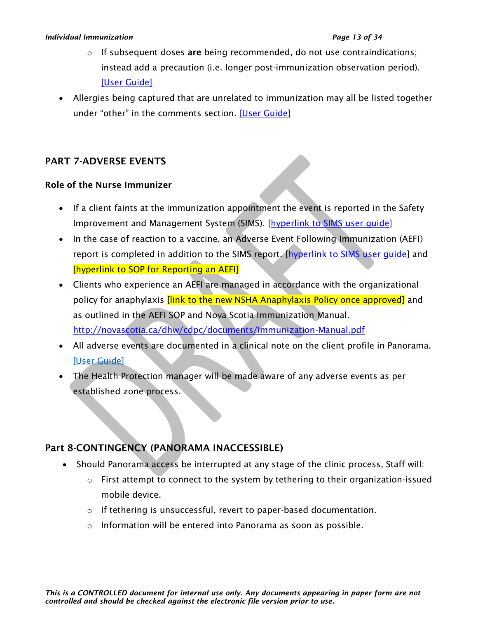#### *Individual Immunization Page 13 of 34*

- $\circ$  If subsequent doses are being recommended, do not use contraindications; instead add a precaution (i.e. longer post-immunization observation period). [\[User Guide\]](https://support.novascotia.ca/sites/default/files/docs/immunization-user-guides/PNS%20User%20Guide%20IMM%20101%20-%20Single%20Immunization.pdf)
- Allergies being captured that are unrelated to immunization may all be listed together under "other" in the comments section. [\[User Guide\]](https://support.novascotia.ca/sites/default/files/docs/immunization-user-guides/PNS%20User%20Guide%20CLT%20101%20-%20Basic%20Client%20Records%20Management.pdf)

# <span id="page-12-0"></span>PART 7-ADVERSE EVENTS

## Role of the Nurse Immunizer

- If a client faints at the immunization appointment the event is reported in the Safety Improvement and Management System (SIMS). [\[hyperlink to SIMS user guide\]](#page-27-0)
- In the case of reaction to a vaccine, an Adverse Event Following Immunization (AEFI) report is completed in addition to the SIMS report. (hyperlink to SIMS user quide) and [hyperlink to SOP for Reporting an AEFI]
- Clients who experience an AEFI are managed in accordance with the organizational policy for anaphylaxis *[link to the new NSHA Anaphylaxis Policy once approved]* and as outlined in the AEFI SOP and Nova Scotia Immunization Manual. <http://novascotia.ca/dhw/cdpc/documents/Immunization-Manual.pdf>
- All adverse events are documented in a clinical note on the client profile in Panorama. [\[User Guide\]](https://support.novascotia.ca/sites/default/files/docs/immunization-user-guides/PNS%20User%20Guide%20IMM%20101%20-%20Single%20Immunization.pdf)
- The Health Protection manager will be made aware of any adverse events as per established zone process.

# <span id="page-12-1"></span>Part 8-CONTINGENCY (PANORAMA INACCESSIBLE)

- Should Panorama access be interrupted at any stage of the clinic process, Staff will:
	- $\circ$  First attempt to connect to the system by tethering to their organization-issued mobile device.
	- o If tethering is unsuccessful, revert to paper-based documentation.
	- o Information will be entered into Panorama as soon as possible.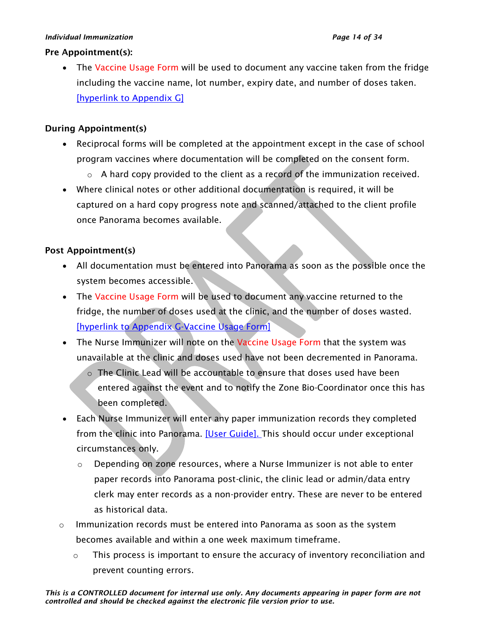#### *Individual Immunization Page 14 of 34*

## Pre Appointment(s):

• The Vaccine Usage Form will be used to document any vaccine taken from the fridge including the vaccine name, lot number, expiry date, and number of doses taken. [\[hyperlink to Appendix G\]](#page-26-0)

# During Appointment(s)

- Reciprocal forms will be completed at the appointment except in the case of school program vaccines where documentation will be completed on the consent form.
	- $\circ$  A hard copy provided to the client as a record of the immunization received.
- Where clinical notes or other additional documentation is required, it will be captured on a hard copy progress note and scanned/attached to the client profile once Panorama becomes available.

# Post Appointment(s)

- All documentation must be entered into Panorama as soon as the possible once the system becomes accessible.
- The Vaccine Usage Form will be used to document any vaccine returned to the fridge, the number of doses used at the clinic, and the number of doses wasted. [\[hyperlink to Appendix G-Vaccine Usage Form\]](#page-26-0)
- The Nurse Immunizer will note on the Vaccine Usage Form that the system was unavailable at the clinic and doses used have not been decremented in Panorama.
	- $\circ$  The Clinic Lead will be accountable to ensure that doses used have been entered against the event and to notify the Zone Bio-Coordinator once this has been completed.
- Each Nurse Immunizer will enter any paper immunization records they completed from the clinic into Panorama. [\[User Guide\].](https://support.novascotia.ca/sites/default/files/docs/immunization-user-guides/PNS%20User%20Guide%20IMM%20101%20-%20Single%20Immunization.pdf) This should occur under exceptional circumstances only.
	- $\circ$  Depending on zone resources, where a Nurse Immunizer is not able to enter paper records into Panorama post-clinic, the clinic lead or admin/data entry clerk may enter records as a non-provider entry. These are never to be entered as historical data.
- $\circ$  Immunization records must be entered into Panorama as soon as the system becomes available and within a one week maximum timeframe.
	- $\circ$  This process is important to ensure the accuracy of inventory reconciliation and prevent counting errors.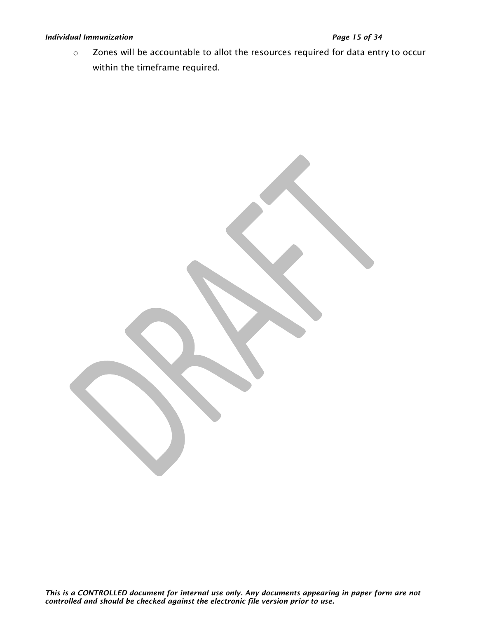## *Individual Immunization Page 15 of 34*

o Zones will be accountable to allot the resources required for data entry to occur within the timeframe required.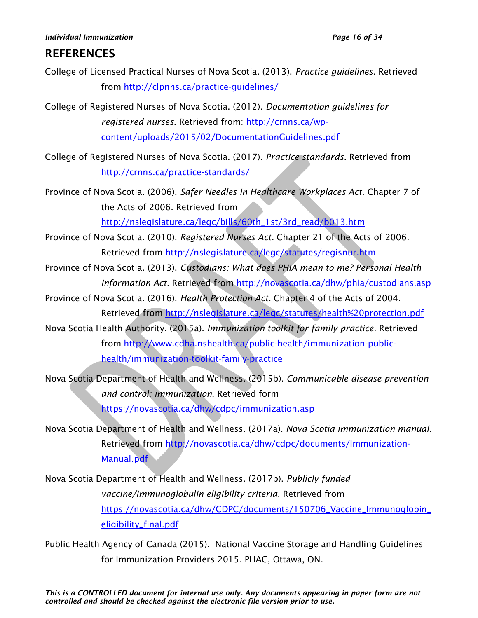# **REFERENCES**

- College of Licensed Practical Nurses of Nova Scotia. (2013). *Practice guidelines.* Retrieved from<http://clpnns.ca/practice-guidelines/>
- College of Registered Nurses of Nova Scotia. (2012). *Documentation guidelines for registered nurses.* Retrieved from: [http://crnns.ca/wp](http://crnns.ca/wp-content/uploads/2015/02/DocumentationGuidelines.pdf)[content/uploads/2015/02/DocumentationGuidelines.pdf](http://crnns.ca/wp-content/uploads/2015/02/DocumentationGuidelines.pdf)
- College of Registered Nurses of Nova Scotia. (2017). *Practice standards*. Retrieved from <http://crnns.ca/practice-standards/>

Province of Nova Scotia. (2006). *Safer Needles in Healthcare Workplaces Act*. Chapter 7 of the Acts of 2006. Retrieved from [http://nslegislature.ca/legc/bills/60th\\_1st/3rd\\_read/b013.htm](http://nslegislature.ca/legc/bills/60th_1st/3rd_read/b013.htm)

- Province of Nova Scotia. (2010). *Registered Nurses Act.* Chapter 21 of the Acts of 2006. Retrieved from<http://nslegislature.ca/legc/statutes/regisnur.htm>
- Province of Nova Scotia. (2013). *Custodians: What does PHIA mean to me? Personal Health Information Act.* Retrieved from<http://novascotia.ca/dhw/phia/custodians.asp>
- Province of Nova Scotia. (2016). *Health Protection Act.* Chapter 4 of the Acts of 2004. Retrieved from<http://nslegislature.ca/legc/statutes/health%20protection.pdf>
- Nova Scotia Health Authority. (2015a). *Immunization toolkit for family practice*. Retrieved from [http://www.cdha.nshealth.ca/public-health/immunization-public](http://www.cdha.nshealth.ca/public-health/immunization-public-health/immunization-toolkit-family-practice)[health/immunization-toolkit-family-practice](http://www.cdha.nshealth.ca/public-health/immunization-public-health/immunization-toolkit-family-practice)
- Nova Scotia Department of Health and Wellness. (2015b). *Communicable disease prevention and control: immunization.* Retrieved form <https://novascotia.ca/dhw/cdpc/immunization.asp>
- Nova Scotia Department of Health and Wellness. (2017a). *Nova Scotia immunization manual*. Retrieved from [http://novascotia.ca/dhw/cdpc/documents/Immunization-](http://novascotia.ca/dhw/cdpc/documents/Immunization-Manual.pdf)[Manual.pdf](http://novascotia.ca/dhw/cdpc/documents/Immunization-Manual.pdf)
- Nova Scotia Department of Health and Wellness. (2017b). *Publicly funded vaccine/immunoglobulin eligibility criteria.* Retrieved from [https://novascotia.ca/dhw/CDPC/documents/150706\\_Vaccine\\_Immunoglobin\\_](https://novascotia.ca/dhw/CDPC/documents/150706_Vaccine_Immunoglobin_eligibility_final.pdf) [eligibility\\_final.pdf](https://novascotia.ca/dhw/CDPC/documents/150706_Vaccine_Immunoglobin_eligibility_final.pdf)
- Public Health Agency of Canada (2015). National Vaccine Storage and Handling Guidelines for Immunization Providers 2015. PHAC, Ottawa, ON.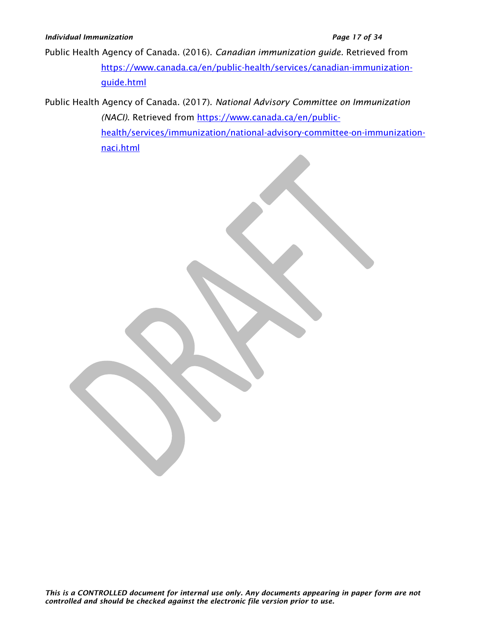Public Health Agency of Canada. (2016). *Canadian immunization guide.* Retrieved from [https://www.canada.ca/en/public-health/services/canadian-immunization](https://www.canada.ca/en/public-health/services/canadian-immunization-guide.html)[guide.html](https://www.canada.ca/en/public-health/services/canadian-immunization-guide.html)

Public Health Agency of Canada. (2017). *National Advisory Committee on Immunization (NACI)*. Retrieved from [https://www.canada.ca/en/public](https://www.canada.ca/en/public-health/services/immunization/national-advisory-committee-on-immunization-naci.html)[health/services/immunization/national-advisory-committee-on-immunization](https://www.canada.ca/en/public-health/services/immunization/national-advisory-committee-on-immunization-naci.html)[naci.html](https://www.canada.ca/en/public-health/services/immunization/national-advisory-committee-on-immunization-naci.html)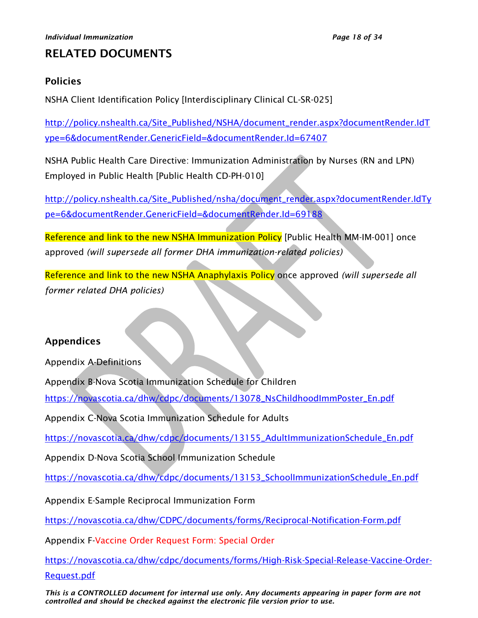# RELATED DOCUMENTS

# <span id="page-17-0"></span>Policies

NSHA Client Identification Policy [Interdisciplinary Clinical CL-SR-025]

[http://policy.nshealth.ca/Site\\_Published/NSHA/document\\_render.aspx?documentRender.IdT](http://policy.nshealth.ca/Site_Published/NSHA/document_render.aspx?documentRender.IdType=6&documentRender.GenericField=&documentRender.Id=67407) [ype=6&documentRender.GenericField=&documentRender.Id=67407](http://policy.nshealth.ca/Site_Published/NSHA/document_render.aspx?documentRender.IdType=6&documentRender.GenericField=&documentRender.Id=67407)

NSHA Public Health Care Directive: Immunization Administration by Nurses (RN and LPN) Employed in Public Health [Public Health CD-PH-010]

[http://policy.nshealth.ca/Site\\_Published/nsha/document\\_render.aspx?documentRender.IdTy](http://policy.nshealth.ca/Site_Published/nsha/document_render.aspx?documentRender.IdType=6&documentRender.GenericField=&documentRender.Id=69188) [pe=6&documentRender.GenericField=&documentRender.Id=69188](http://policy.nshealth.ca/Site_Published/nsha/document_render.aspx?documentRender.IdType=6&documentRender.GenericField=&documentRender.Id=69188)

Reference and link to the new NSHA Immunization Policy [Public Health MM-IM-0011 once approved *(will supersede all former DHA immunization-related policies)*

Reference and link to the new NSHA Anaphylaxis Policy once approved *(will supersede all former related DHA policies)*

# Appendices

Appendix A-Definitions

Appendix B-Nova Scotia Immunization Schedule for Children

[https://novascotia.ca/dhw/cdpc/documents/13078\\_NsChildhoodImmPoster\\_En.pdf](https://novascotia.ca/dhw/cdpc/documents/13078_NsChildhoodImmPoster_En.pdf)

Appendix C-Nova Scotia Immunization Schedule for Adults

[https://novascotia.ca/dhw/cdpc/documents/13155\\_AdultImmunizationSchedule\\_En.pdf](https://novascotia.ca/dhw/cdpc/documents/13155_AdultImmunizationSchedule_En.pdf)

Appendix D-Nova Scotia School Immunization Schedule

[https://novascotia.ca/dhw/cdpc/documents/13153\\_SchoolImmunizationSchedule\\_En.pdf](https://novascotia.ca/dhw/cdpc/documents/13153_SchoolImmunizationSchedule_En.pdf)

Appendix E-Sample Reciprocal Immunization Form

<https://novascotia.ca/dhw/CDPC/documents/forms/Reciprocal-Notification-Form.pdf>

Appendix F-Vaccine Order Request Form: Special Order

[https://novascotia.ca/dhw/cdpc/documents/forms/High-Risk-Special-Release-Vaccine-Order-](https://novascotia.ca/dhw/cdpc/documents/forms/High-Risk-Special-Release-Vaccine-Order-Request.pdf)[Request.pdf](https://novascotia.ca/dhw/cdpc/documents/forms/High-Risk-Special-Release-Vaccine-Order-Request.pdf)

*This is a CONTROLLED document for internal use only. Any documents appearing in paper form are not controlled and should be checked against the electronic file version prior to use.*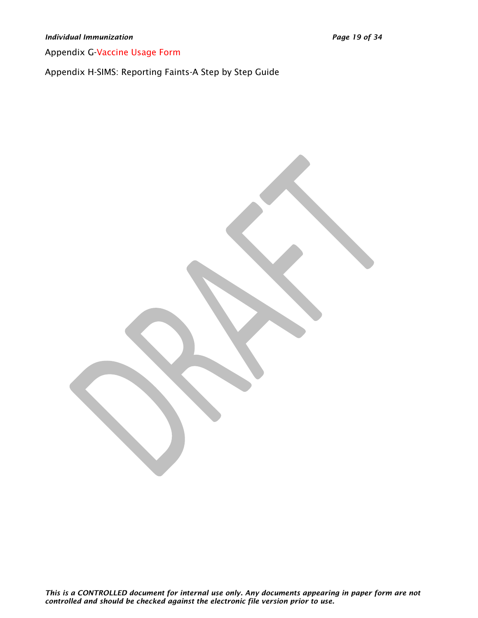Appendix G-Vaccine Usage Form

Appendix H-SIMS: Reporting Faints-A Step by Step Guide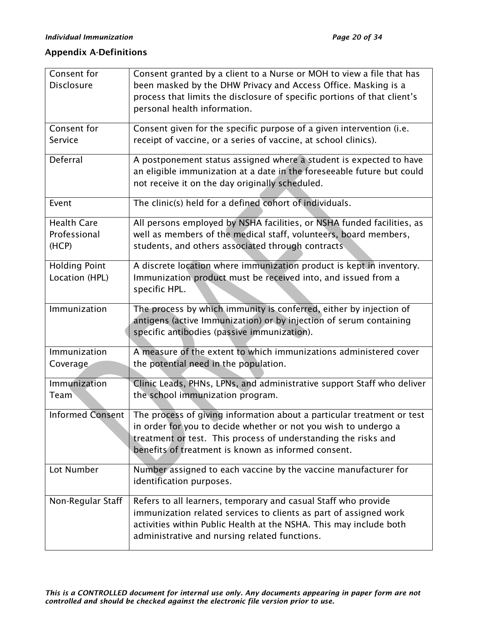# <span id="page-19-0"></span>Appendix A-Definitions

| Consent for          | Consent granted by a client to a Nurse or MOH to view a file that has                                      |
|----------------------|------------------------------------------------------------------------------------------------------------|
| <b>Disclosure</b>    | been masked by the DHW Privacy and Access Office. Masking is a                                             |
|                      | process that limits the disclosure of specific portions of that client's                                   |
|                      | personal health information.                                                                               |
|                      |                                                                                                            |
| Consent for          | Consent given for the specific purpose of a given intervention (i.e.                                       |
| Service              | receipt of vaccine, or a series of vaccine, at school clinics).                                            |
| Deferral             | A postponement status assigned where a student is expected to have                                         |
|                      | an eligible immunization at a date in the foreseeable future but could                                     |
|                      | not receive it on the day originally scheduled.                                                            |
| Event                | The clinic(s) held for a defined cohort of individuals.                                                    |
|                      |                                                                                                            |
| <b>Health Care</b>   | All persons employed by NSHA facilities, or NSHA funded facilities, as                                     |
| Professional         | well as members of the medical staff, volunteers, board members,                                           |
| (HCP)                | students, and others associated through contracts                                                          |
| <b>Holding Point</b> | A discrete location where immunization product is kept in inventory.                                       |
| Location (HPL)       | Immunization product must be received into, and issued from a                                              |
|                      | specific HPL.                                                                                              |
|                      |                                                                                                            |
| Immunization         | The process by which immunity is conferred, either by injection of                                         |
|                      | antigens (active Immunization) or by injection of serum containing                                         |
|                      | specific antibodies (passive immunization).                                                                |
| Immunization         | A measure of the extent to which immunizations administered cover                                          |
| Coverage             | the potential need in the population.                                                                      |
| Immunization         |                                                                                                            |
| Team                 | Clinic Leads, PHNs, LPNs, and administrative support Staff who deliver<br>the school immunization program. |
|                      |                                                                                                            |
|                      | Informed Consent   The process of giving information about a particular treatment or test                  |
|                      | in order for you to decide whether or not you wish to undergo a                                            |
|                      | treatment or test. This process of understanding the risks and                                             |
|                      | benefits of treatment is known as informed consent.                                                        |
| Lot Number           | Number assigned to each vaccine by the vaccine manufacturer for                                            |
|                      | identification purposes.                                                                                   |
|                      |                                                                                                            |
| Non-Regular Staff    | Refers to all learners, temporary and casual Staff who provide                                             |
|                      | immunization related services to clients as part of assigned work                                          |
|                      | activities within Public Health at the NSHA. This may include both                                         |
|                      | administrative and nursing related functions.                                                              |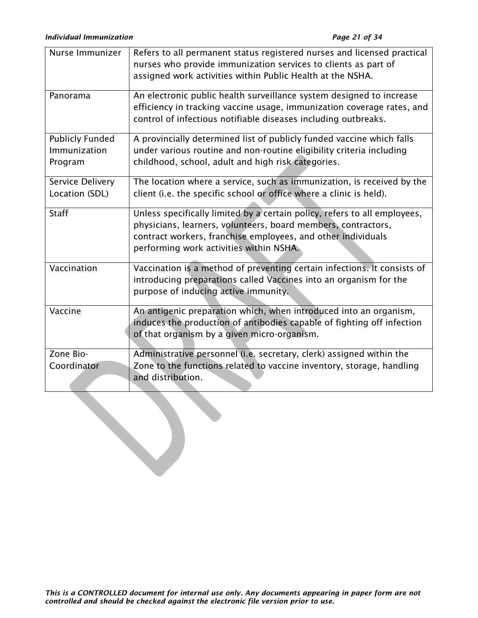| Nurse Immunizer                                   | Refers to all permanent status registered nurses and licensed practical<br>nurses who provide immunization services to clients as part of<br>assigned work activities within Public Health at the NSHA.                                               |
|---------------------------------------------------|-------------------------------------------------------------------------------------------------------------------------------------------------------------------------------------------------------------------------------------------------------|
| Panorama                                          | An electronic public health surveillance system designed to increase<br>efficiency in tracking vaccine usage, immunization coverage rates, and<br>control of infectious notifiable diseases including outbreaks.                                      |
| <b>Publicly Funded</b><br>Immunization<br>Program | A provincially determined list of publicly funded vaccine which falls<br>under various routine and non-routine eligibility criteria including<br>childhood, school, adult and high risk categories.                                                   |
| Service Delivery<br>Location (SDL)                | The location where a service, such as immunization, is received by the<br>client (i.e. the specific school or office where a clinic is held).                                                                                                         |
| <b>Staff</b>                                      | Unless specifically limited by a certain policy, refers to all employees,<br>physicians, learners, volunteers, board members, contractors,<br>contract workers, franchise employees, and other individuals<br>performing work activities within NSHA. |
| Vaccination                                       | Vaccination is a method of preventing certain infections. It consists of<br>introducing preparations called Vaccines into an organism for the<br>purpose of inducing active immunity.                                                                 |
| Vaccine                                           | An antigenic preparation which, when introduced into an organism,<br>induces the production of antibodies capable of fighting off infection<br>of that organism by a given micro-organism.                                                            |
| Zone Bio-                                         | Administrative personnel (i.e. secretary, clerk) assigned within the                                                                                                                                                                                  |
| Coordinator                                       | Zone to the functions related to vaccine inventory, storage, handling<br>and distribution.                                                                                                                                                            |
|                                                   |                                                                                                                                                                                                                                                       |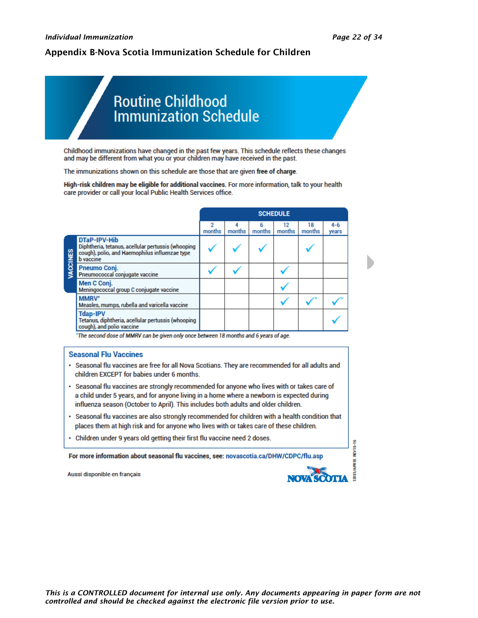## <span id="page-21-0"></span>Appendix B-Nova Scotia Immunization Schedule for Children

# **Routine Childhood Immunization Schedule**

Childhood immunizations have changed in the past few years. This schedule reflects these changes and may be different from what you or your children may have received in the past.

The immunizations shown on this schedule are those that are given free of charge.

High-risk children may be eligible for additional vaccines. For more information, talk to your health care provider or call your local Public Health Services office.

|        |                                                                                                                                          |             |        |             | <b>SCHEDULE</b> |              |                  |
|--------|------------------------------------------------------------------------------------------------------------------------------------------|-------------|--------|-------------|-----------------|--------------|------------------|
|        |                                                                                                                                          | 2<br>months | months | 6<br>months | 12<br>months    | 18<br>months | $4 - 6$<br>years |
| CCINES | DTaP-IPV-Hib<br>Diphtheria, tetanus, acellular pertussis (whooping<br>cough), polio, and Haemophilus influenzae type<br><b>b</b> vaccine |             |        |             |                 |              |                  |
|        | <b>Pneumo Coni.</b><br>Pneumococcal conjugate vaccine                                                                                    |             |        |             |                 |              |                  |
|        | Men C Conj.<br>Meningococcal group C conjugate vaccine                                                                                   |             |        |             |                 |              |                  |
|        | MMRV*<br>Measles, mumps, rubella and varicella vaccine                                                                                   |             |        |             |                 |              |                  |
|        | <b>Tdap-IPV</b><br>Tetanus, diphtheria, acellular pertussis (whooping<br>cough), and polio vaccine                                       |             |        |             |                 |              |                  |

\*The second dose of MMRV can be given only once between 18 months and 6 years of age.

#### **Seasonal Flu Vaccines**

- · Seasonal flu vaccines are free for all Nova Scotians. They are recommended for all adults and children EXCEPT for babies under 6 months.
- · Seasonal flu vaccines are strongly recommended for anyone who lives with or takes care of a child under 5 years, and for anyone living in a home where a newborn is expected during influenza season (October to April). This includes both adults and older children.
- . Seasonal flu vaccines are also strongly recommended for children with a health condition that places them at high risk and for anyone who lives with or takes care of these children.
- Children under 9 years old getting their first flu vaccine need 2 doses.

For more information about seasonal flu vaccines, see: novascotia.ca/DHW/CDPC/flu.asp

Aussi disponible en français



**REV15-16**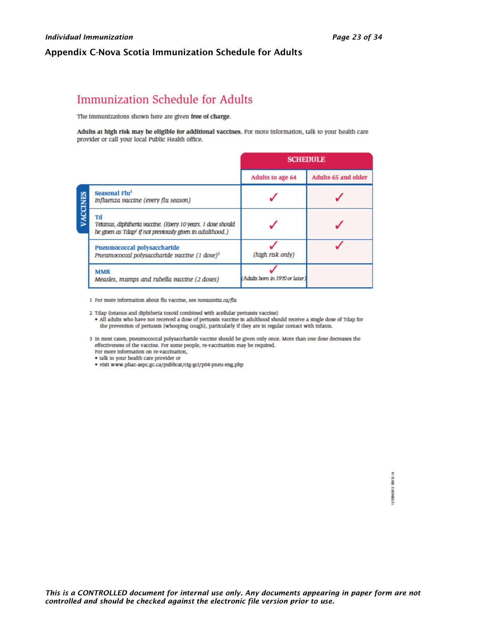### <span id="page-22-0"></span>Appendix C-Nova Scotia Immunization Schedule for Adults

# Immunization Schedule for Adults

The immunizations shown here are given free of charge.

Adults at high risk may be eligible for additional vaccines. For more information, talk to your health care provider or call your local Public Health office.

|              |                                                                                                                                           | <b>SCHEDULE</b>                |                     |
|--------------|-------------------------------------------------------------------------------------------------------------------------------------------|--------------------------------|---------------------|
|              |                                                                                                                                           | Adults to age 64               | Adults 65 and older |
| <b>CINES</b> | Seasonal Flu <sup>1</sup><br>Influenza vaccine (every flu season)                                                                         |                                |                     |
|              | Tđ<br>Tetanus, diphiheria vaccine. (Every 10 years. 1 dose should<br>be given as Tdap <sup>2</sup> if not previously given in adulthood.) |                                |                     |
|              | Pneumococcal polysaccharide<br>Prieumococcal polysaccharide vaccine (1 dose) <sup>3</sup>                                                 | (high risk only)               |                     |
|              | <b>MMR</b><br>Measles, mumps and rubella vaccine (2 doses)                                                                                | (Adults born in 1970 or later) |                     |

1 For more information about flu vaccine, see novascotia.ca/flu

2 Tdap (tetanus and diphtheria toxoid combined with acellular pertussis vaccine)

- . All adults who have not received a dose of pertussis vaccine in adulthood should receive a single dose of Tdap for the prevention of pertussis (whooping cough), particularly if they are in regular contact with infants.
- 3 In most cases, pneumococcal polysaccharide vaccine should be given only once. More than one dose decreases the effectiveness of the vaccine. For some people, re-vaccination may be required. For more information on re-vaccination,
	- talk to your health care provider or
	- · visit www.phac-aspc.gc.ca/publicat/cig-gcl/p04-pneu-eng.php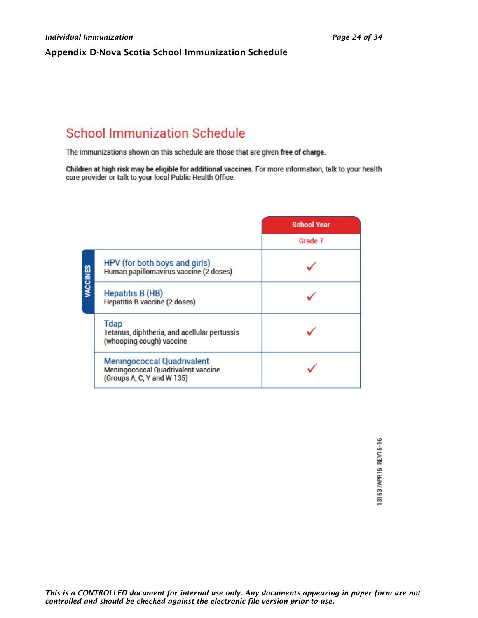## <span id="page-23-0"></span>Appendix D-Nova Scotia School Immunization Schedule

# **School Immunization Schedule**

The immunizations shown on this schedule are those that are given free of charge.

Children at high risk may be eligible for additional vaccines. For more information, talk to your health care provider or talk to your local Public Health Office.

|          |                                                                                                              | <b>School Year</b> |
|----------|--------------------------------------------------------------------------------------------------------------|--------------------|
|          |                                                                                                              | Grade 7            |
| VACCINES | HPV (for both boys and girls)<br>Human papillomavirus vaccine (2 doses)                                      |                    |
|          | <b>Hepatitis B (HB)</b><br><b>Hepatitis B vaccine (2 doses)</b>                                              |                    |
|          | <b>Tdap</b><br>Tetanus, diphtheria, and acellular pertussis<br>(whooping cough) vaccine                      |                    |
|          | <b>Meningococcal Quadrivalent</b><br><b>Meningococcal Quadrivalent vaccine</b><br>(Groups A, C, Y and W 135) |                    |

13153/APR15 REV15-16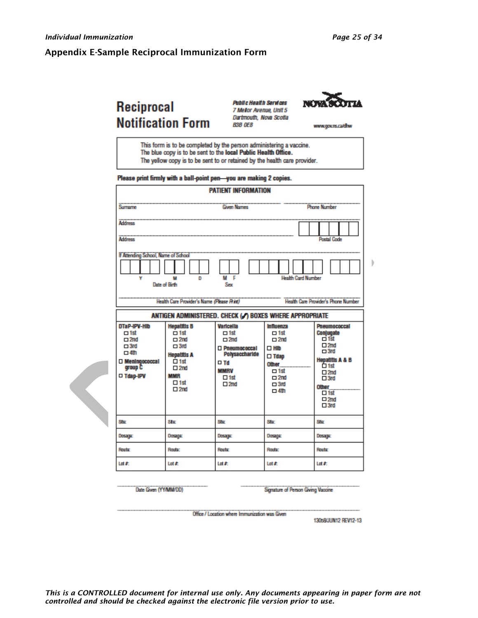### <span id="page-24-0"></span>Appendix E-Sample Reciprocal Immunization Form

# Reciprocal **Notification Form**

**Public Health Services** 7 Mellor Avenue, Unit 5 Dartmouth, Nova Scotla **B3B OE8** 



www.gov.ns.ca/dhw

This form is to be completed by the person administering a vaccine. The blue copy is to be sent to the local Public Health Office. The yellow copy is to be sent to or retained by the health care provider.

Please print firmly with a ball-point pen-you are making 2 copies.

|                                                                                                                   |                                                                                                                                                                          | <b>PATIENT INFORMATION</b>                                                                                                                 |                                                                                                                                                                    |                                                                                                                                                                                                  |  |
|-------------------------------------------------------------------------------------------------------------------|--------------------------------------------------------------------------------------------------------------------------------------------------------------------------|--------------------------------------------------------------------------------------------------------------------------------------------|--------------------------------------------------------------------------------------------------------------------------------------------------------------------|--------------------------------------------------------------------------------------------------------------------------------------------------------------------------------------------------|--|
| Surrame                                                                                                           |                                                                                                                                                                          | <b>Given Names</b>                                                                                                                         |                                                                                                                                                                    | <b>Phone Number</b>                                                                                                                                                                              |  |
| <b>Address</b>                                                                                                    |                                                                                                                                                                          |                                                                                                                                            |                                                                                                                                                                    |                                                                                                                                                                                                  |  |
| <b>Address</b>                                                                                                    |                                                                                                                                                                          |                                                                                                                                            |                                                                                                                                                                    | <b>Postal Code</b>                                                                                                                                                                               |  |
| If Attending School, Name of School<br>M F<br><b>Health Card Number</b><br>٧<br>м<br>n<br>Date of Birth<br>Sex    |                                                                                                                                                                          |                                                                                                                                            |                                                                                                                                                                    |                                                                                                                                                                                                  |  |
|                                                                                                                   | Health Care Provider's Name (Please Rint)                                                                                                                                |                                                                                                                                            |                                                                                                                                                                    | <b>Health Care Provider's Phone Number</b>                                                                                                                                                       |  |
|                                                                                                                   |                                                                                                                                                                          |                                                                                                                                            | ANTIGEN ADMINISTERED. CHECK (.) BOXES WHERE APPROPRIATE                                                                                                            |                                                                                                                                                                                                  |  |
| DTaP-IPV-HIb<br>$\Box$ 1st<br>$\square$ 2nd<br>$\Box$ 3rd<br>$\Box$ 4th<br>Meningococcal<br>group C<br>□ Tdap-IPV | <b>Hepatitis B</b><br>$-1st$<br>$\square$ 2nd<br>$\Box$ 3rd<br><b>Hepatitis A</b><br>$\overline{\Box}$ 1st<br>$\square$ 2nd<br><b>MMR</b><br>$\Box$ 1st<br>$\square$ 2nd | Varicella<br>$\Box$ 1st<br>$\square$ 2nd<br>D Pneumococcal<br>Polysaccharide<br>$\square$ Td<br><b>MMRV</b><br>$\Box$ 1st<br>$\square 2nd$ | Influenza<br>$\Box$ 1st<br>$\square$ 2nd<br>$\square$ Hib<br>$\square$ Tdap<br><b>Other</b><br>$\Box$ 1st<br>$\square$ 2nd<br>$\Box$ 3rd<br>$\Box$ <sub>4</sub> th | Pneumococcal<br>Conjugate<br>□ 1st<br>$\square 2nd$<br>$\Box$ 3rd<br><b>Hepatitis A &amp; B</b><br>亡 1st<br>$\square 2nd$<br>$\square$ 3rd<br>Other<br>$\Box$ 1st<br>$\Box 2nd$<br>$\square$ 3rd |  |
| Shr                                                                                                               | Str                                                                                                                                                                      | Shop                                                                                                                                       | Str                                                                                                                                                                | Site                                                                                                                                                                                             |  |
| Dosagar                                                                                                           | Dosage                                                                                                                                                                   | Dosagar                                                                                                                                    | Dosage:                                                                                                                                                            | Dosagar                                                                                                                                                                                          |  |
| Route                                                                                                             | Route:                                                                                                                                                                   | Route                                                                                                                                      | <b>Route:</b>                                                                                                                                                      | Route                                                                                                                                                                                            |  |
|                                                                                                                   |                                                                                                                                                                          |                                                                                                                                            |                                                                                                                                                                    |                                                                                                                                                                                                  |  |

Date Given (YY/MM/DD)

Signature of Person Giving Vaccine

Office / Location where Immunization was Given

130s8/JUN12 REV12-13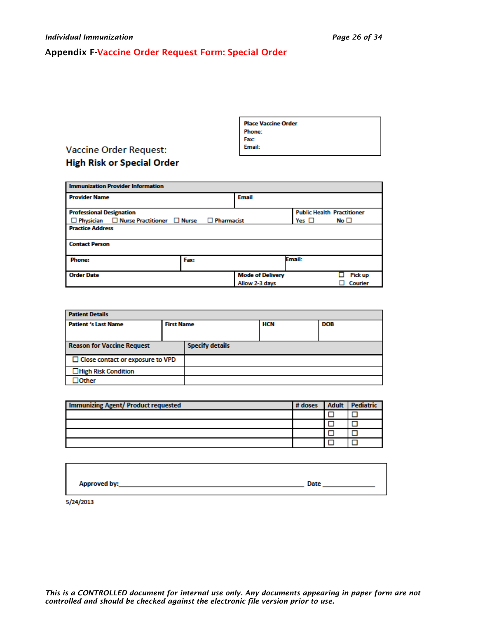# <span id="page-25-0"></span>Appendix F-Vaccine Order Request Form: Special Order

| <b>Place Vaccine Order</b> |  |
|----------------------------|--|
| Phone:                     |  |
| Fax:                       |  |
| Email:                     |  |
|                            |  |

# **Vaccine Order Request: High Risk or Special Order**

| <b>Immunization Provider Information</b>                |                        |                         |                                   |              |  |
|---------------------------------------------------------|------------------------|-------------------------|-----------------------------------|--------------|--|
| <b>Provider Name</b>                                    |                        | <b>Email</b>            |                                   |              |  |
| <b>Professional Designation</b>                         |                        |                         | <b>Public Health Practitioner</b> |              |  |
| $\Box$ Physician $\Box$ Nurse Practitioner $\Box$ Nurse | <b>Pharmacist</b><br>□ |                         | Yes $\Box$                        | $No \square$ |  |
| <b>Practice Address</b>                                 |                        |                         |                                   |              |  |
|                                                         |                        |                         |                                   |              |  |
| <b>Contact Person</b>                                   |                        |                         |                                   |              |  |
| <b>Phone:</b>                                           | Fax:                   |                         | Email:                            |              |  |
| <b>Order Date</b>                                       |                        | <b>Mode of Delivery</b> |                                   | Pick up      |  |
|                                                         |                        | Allow 2-3 days          |                                   | Courier      |  |

| <b>Patient Details</b>                  |                   |                        |     |            |  |
|-----------------------------------------|-------------------|------------------------|-----|------------|--|
| <b>Patient 's Last Name</b>             | <b>First Name</b> |                        | HCN | <b>DOB</b> |  |
|                                         |                   |                        |     |            |  |
| <b>Reason for Vaccine Request</b>       |                   | <b>Specify details</b> |     |            |  |
| $\Box$ Close contact or exposure to VPD |                   |                        |     |            |  |
| □High Risk Condition                    |                   |                        |     |            |  |
| $J$ Other                               |                   |                        |     |            |  |

| <b>Immunizing Agent/ Product requested</b> | # doses | <b>Adult</b> Pediatric |
|--------------------------------------------|---------|------------------------|
|                                            |         |                        |
|                                            |         |                        |
|                                            |         |                        |
|                                            |         |                        |

| Approved by: | Date |
|--------------|------|
|--------------|------|

5/24/2013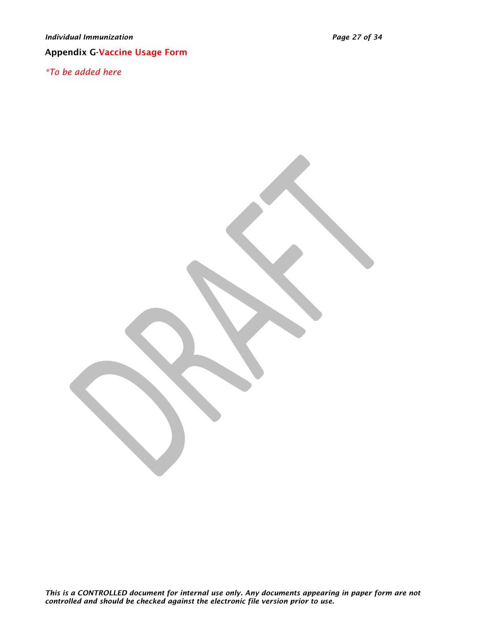# <span id="page-26-0"></span>Appendix G-Vaccine Usage Form

*\*To be added here*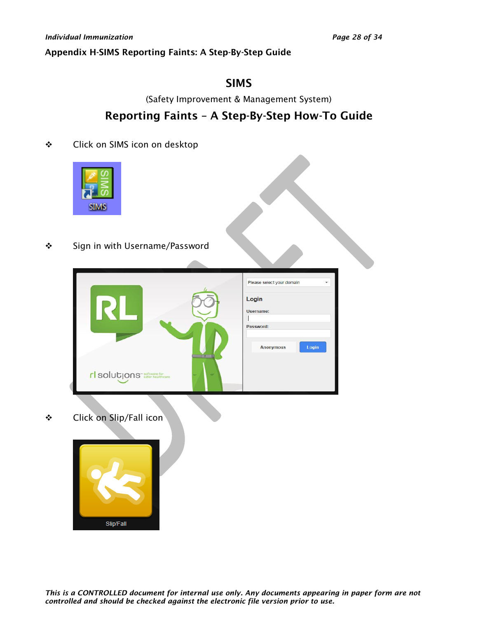## <span id="page-27-0"></span>Appendix H-SIMS Reporting Faints: A Step-By-Step Guide

# SIMS

(Safety Improvement & Management System)

# Reporting Faints – A Step-By-Step How-To Guide

❖ Click on SIMS icon on desktop



❖ Sign in with Username/Password

|                                        |   | Please select your domain<br>÷         |
|----------------------------------------|---|----------------------------------------|
|                                        |   | Login<br>Username:                     |
|                                        |   | Password:<br>Login<br><b>Anonymous</b> |
| rl solutions <sup>- software for</sup> | ╺ |                                        |

❖ Click on Slip/Fall icon

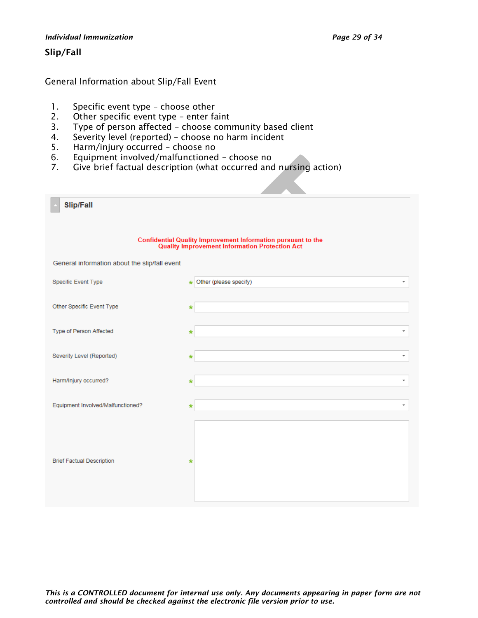#### *Individual Immunization Page 29 of 34*

# Slip/Fall

# General Information about Slip/Fall Event

- 1. Specific event type choose other
- 2. Other specific event type enter faint
- 3. Type of person affected choose community based client
- 4. Severity level (reported) choose no harm incident
- 5. Harm/injury occurred choose no
- 6. Equipment involved/malfunctioned choose no
- 7. Give brief factual description (what occurred and nursing action)

| <b>Slip/Fall</b>                              |                                                                                                                        |  |  |  |
|-----------------------------------------------|------------------------------------------------------------------------------------------------------------------------|--|--|--|
|                                               | <b>Confidential Quality Improvement Information pursuant to the<br/>Quality Improvement Information Protection Act</b> |  |  |  |
| General information about the slip/fall event |                                                                                                                        |  |  |  |
| Specific Event Type                           | ★ Other (please specify)                                                                                               |  |  |  |
| Other Specific Event Type                     | ∗                                                                                                                      |  |  |  |
| Type of Person Affected                       | ٠<br>*                                                                                                                 |  |  |  |
| Severity Level (Reported)                     | ÷k                                                                                                                     |  |  |  |
| Harm/Injury occurred?                         | $\overline{\phantom{a}}$                                                                                               |  |  |  |
| Equipment Involved/Malfunctioned?             | ÷                                                                                                                      |  |  |  |
| <b>Brief Factual Description</b>              | *                                                                                                                      |  |  |  |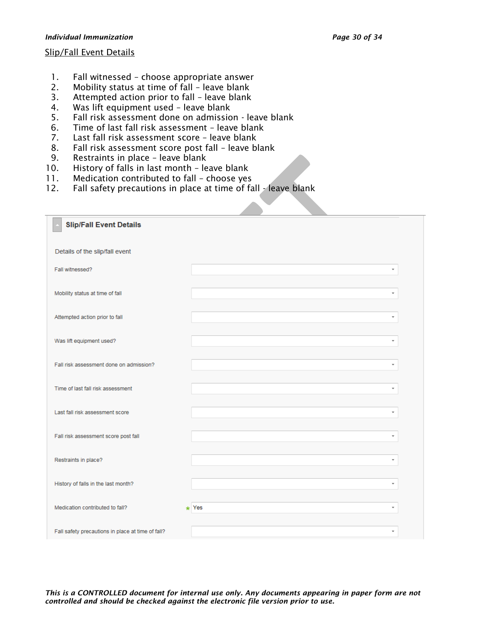#### *Individual Immunization Page 30 of 34*

#### Slip/Fall Event Details

- 1. Fall witnessed choose appropriate answer
- 2. Mobility status at time of fall leave blank
- 3. Attempted action prior to fall leave blank
- 4. Was lift equipment used leave blank
- 5. Fall risk assessment done on admission leave blank
- 6. Time of last fall risk assessment leave blank
- 7. Last fall risk assessment score leave blank
- 8. Fall risk assessment score post fall leave blank
- 9. Restraints in place leave blank
- 10. History of falls in last month leave blank
- 11. Medication contributed to fall choose yes
- 12. Fall safety precautions in place at time of fall leave blank

| <b>Slip/Fall Event Details</b>                    |                  |
|---------------------------------------------------|------------------|
| Details of the slip/fall event                    |                  |
| Fall witnessed?                                   | ÷                |
| Mobility status at time of fall                   | ÷                |
| Attempted action prior to fall                    | ÷                |
| Was lift equipment used?                          | ÷                |
| Fall risk assessment done on admission?           | ÷                |
| Time of last fall risk assessment                 | ÷                |
| Last fall risk assessment score                   | ÷                |
| Fall risk assessment score post fall              | ÷                |
| Restraints in place?                              |                  |
| History of falls in the last month?               | ÷                |
| Medication contributed to fall?                   | $\star$ Yes<br>÷ |
| Fall safety precautions in place at time of fall? |                  |

*This is a CONTROLLED document for internal use only. Any documents appearing in paper form are not controlled and should be checked against the electronic file version prior to use.*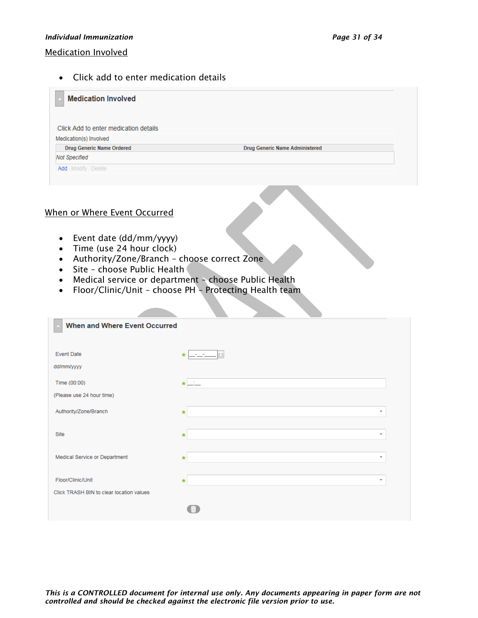#### *Individual Immunization Page 31 of 34*

#### Medication Involved

• Click add to enter medication details

| <b>Medication Involved</b>            |                                       |
|---------------------------------------|---------------------------------------|
| Click Add to enter medication details |                                       |
| Medication(s) Involved                |                                       |
| <b>Drug Generic Name Ordered</b>      | <b>Drug Generic Name Administered</b> |
| <b>Not Specified</b>                  |                                       |
| <b>Add</b> Modify Delete              |                                       |
|                                       |                                       |

### When or Where Event Occurred

- Event date (dd/mm/yyyy)
- Time (use 24 hour clock)
- Authority/Zone/Branch choose correct Zone
- Site choose Public Health
- Medical service or department choose Public Health
- Floor/Clinic/Unit choose PH Protecting Health team

| <b>When and Where Event Occurred</b><br>× |                                    |
|-------------------------------------------|------------------------------------|
|                                           |                                    |
| <b>Event Date</b>                         |                                    |
|                                           | $\star$                            |
| dd/mm/yyyy                                |                                    |
| Time (00:00)                              | $\star$ $\perp$                    |
|                                           |                                    |
| (Please use 24 hour time)                 |                                    |
| Authority/Zone/Branch                     | $\overline{\phantom{a}}$<br>*      |
|                                           |                                    |
| Site                                      | $\overline{\phantom{a}}$<br>$\ast$ |
|                                           |                                    |
|                                           |                                    |
| Medical Service or Department             | $\overline{\phantom{a}}$<br>$\ast$ |
|                                           |                                    |
| Floor/Clinic/Unit                         | $\ast$<br>$\overline{\phantom{a}}$ |
| Click TRASH BIN to clear location values  |                                    |
|                                           |                                    |
|                                           |                                    |
|                                           |                                    |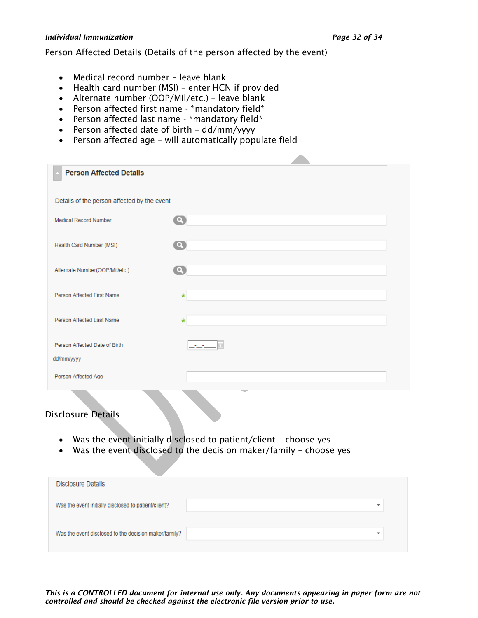#### *Individual Immunization Page 32 of 34*

### Person Affected Details (Details of the person affected by the event)

- Medical record number leave blank
- Health card number (MSI) enter HCN if provided
- Alternate number (OOP/Mil/etc.) leave blank
- Person affected first name \*mandatory field\*
- Person affected last name \*mandatory field\*
- Person affected date of birth dd/mm/yyyy
- Person affected age will automatically populate field

| <b>Person Affected Details</b>              |                          |
|---------------------------------------------|--------------------------|
|                                             |                          |
| Details of the person affected by the event |                          |
| <b>Medical Record Number</b>                | $\bullet$                |
|                                             |                          |
| Health Card Number (MSI)                    | $\mathbf{\Omega}$        |
|                                             |                          |
| Alternate Number(OOP/Mil/etc.)              | $\boldsymbol{\Omega}$    |
|                                             |                          |
| Person Affected First Name                  | $\star$                  |
|                                             |                          |
| Person Affected Last Name                   | $\star$                  |
|                                             |                          |
| Person Affected Date of Birth               |                          |
|                                             |                          |
| dd/mm/yyyy                                  |                          |
| Person Affected Age                         |                          |
| <b>Contract</b>                             | $\overline{\phantom{a}}$ |

# Disclosure Details

- Was the event initially disclosed to patient/client choose yes
- Was the event disclosed to the decision maker/family choose yes

| <b>Disclosure Details</b>                             |        |  |
|-------------------------------------------------------|--------|--|
| Was the event initially disclosed to patient/client?  | $\sim$ |  |
| Was the event disclosed to the decision maker/family? |        |  |
|                                                       |        |  |

*This is a CONTROLLED document for internal use only. Any documents appearing in paper form are not controlled and should be checked against the electronic file version prior to use.*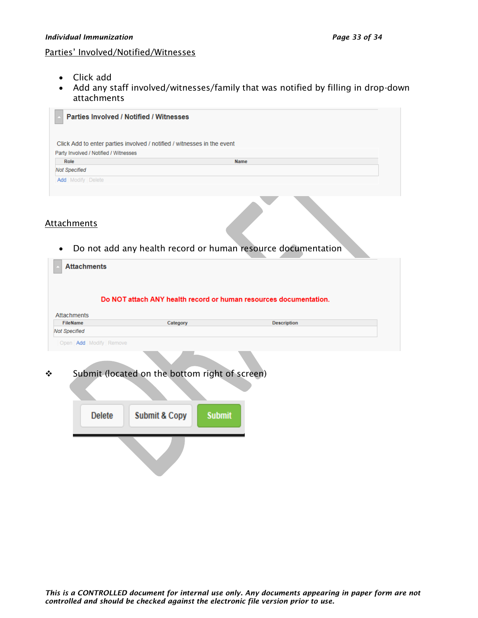### Parties' Involved/Notified/Witnesses

- Click add
- Add any staff involved/witnesses/family that was notified by filling in drop-down attachments

| <b>Parties Involved / Notified / Witnesses</b> |                                                                         |
|------------------------------------------------|-------------------------------------------------------------------------|
|                                                | Click Add to enter parties involved / notified / witnesses in the event |
| Party Involved / Notified / Witnesses          |                                                                         |
| Role                                           | <b>Name</b>                                                             |
| <b>Not Specified</b>                           |                                                                         |
| <b>Add</b> Modify Delete                       |                                                                         |
|                                                |                                                                         |
|                                                |                                                                         |

## **Attachments**

• Do not add any health record or human resource documentation

| <b>Attachments</b>     |                                                                   |                    |  |
|------------------------|-------------------------------------------------------------------|--------------------|--|
|                        |                                                                   |                    |  |
|                        | Do NOT attach ANY health record or human resources documentation. |                    |  |
| <b>Attachments</b>     |                                                                   |                    |  |
| FileName               | Category                                                          | <b>Description</b> |  |
| <b>Not Specified</b>   |                                                                   |                    |  |
| Open Add Modify Remove |                                                                   |                    |  |
|                        | Submit (located on the bottom right of screen)                    |                    |  |
|                        |                                                                   |                    |  |
| <b>Delete</b>          | <b>Submit &amp; Copy</b><br><b>Submit</b>                         |                    |  |